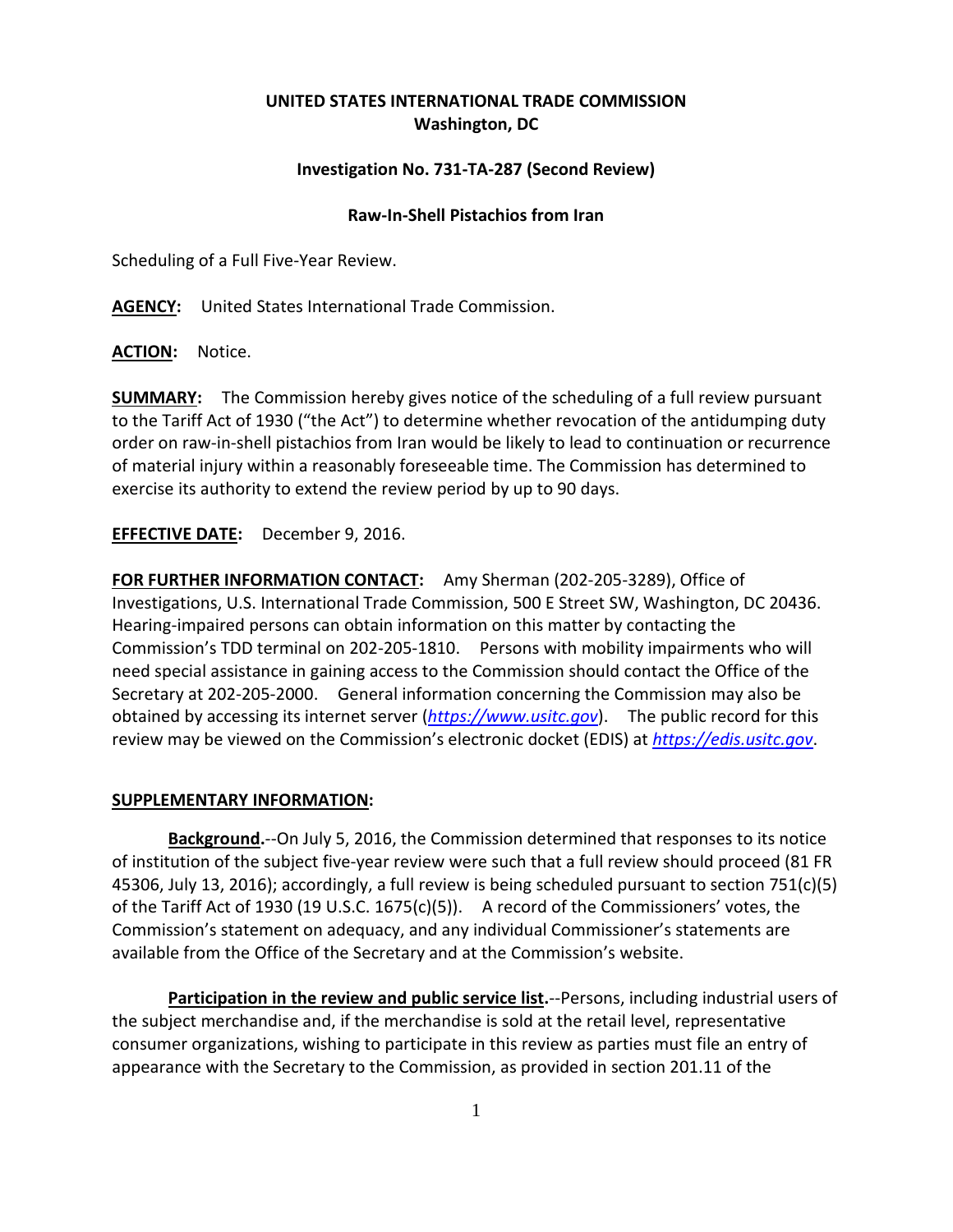## **UNITED STATES INTERNATIONAL TRADE COMMISSION Washington, DC**

## **Investigation No. 731-TA-287 (Second Review)**

## **Raw-In-Shell Pistachios from Iran**

Scheduling of a Full Five-Year Review.

**AGENCY:** United States International Trade Commission.

**ACTION:** Notice.

**SUMMARY:** The Commission hereby gives notice of the scheduling of a full review pursuant to the Tariff Act of 1930 ("the Act") to determine whether revocation of the antidumping duty order on raw-in-shell pistachios from Iran would be likely to lead to continuation or recurrence of material injury within a reasonably foreseeable time. The Commission has determined to exercise its authority to extend the review period by up to 90 days.

**EFFECTIVE DATE:** December 9, 2016.

**FOR FURTHER INFORMATION CONTACT:** Amy Sherman (202-205-3289), Office of Investigations, U.S. International Trade Commission, 500 E Street SW, Washington, DC 20436. Hearing-impaired persons can obtain information on this matter by contacting the Commission's TDD terminal on 202-205-1810. Persons with mobility impairments who will need special assistance in gaining access to the Commission should contact the Office of the Secretary at 202-205-2000. General information concerning the Commission may also be obtained by accessing its internet server (*[https://www.usitc.gov](https://www.usitc.gov/)*). The public record for this review may be viewed on the Commission's electronic docket (EDIS) at *[https://edis.usitc.gov](https://edis.usitc.gov/)*.

## **SUPPLEMENTARY INFORMATION:**

**Background.**--On July 5, 2016, the Commission determined that responses to its notice of institution of the subject five-year review were such that a full review should proceed (81 FR 45306, July 13, 2016); accordingly, a full review is being scheduled pursuant to section 751(c)(5) of the Tariff Act of 1930 (19 U.S.C. 1675(c)(5)). A record of the Commissioners' votes, the Commission's statement on adequacy, and any individual Commissioner's statements are available from the Office of the Secretary and at the Commission's website.

**Participation in the review and public service list.**--Persons, including industrial users of the subject merchandise and, if the merchandise is sold at the retail level, representative consumer organizations, wishing to participate in this review as parties must file an entry of appearance with the Secretary to the Commission, as provided in section 201.11 of the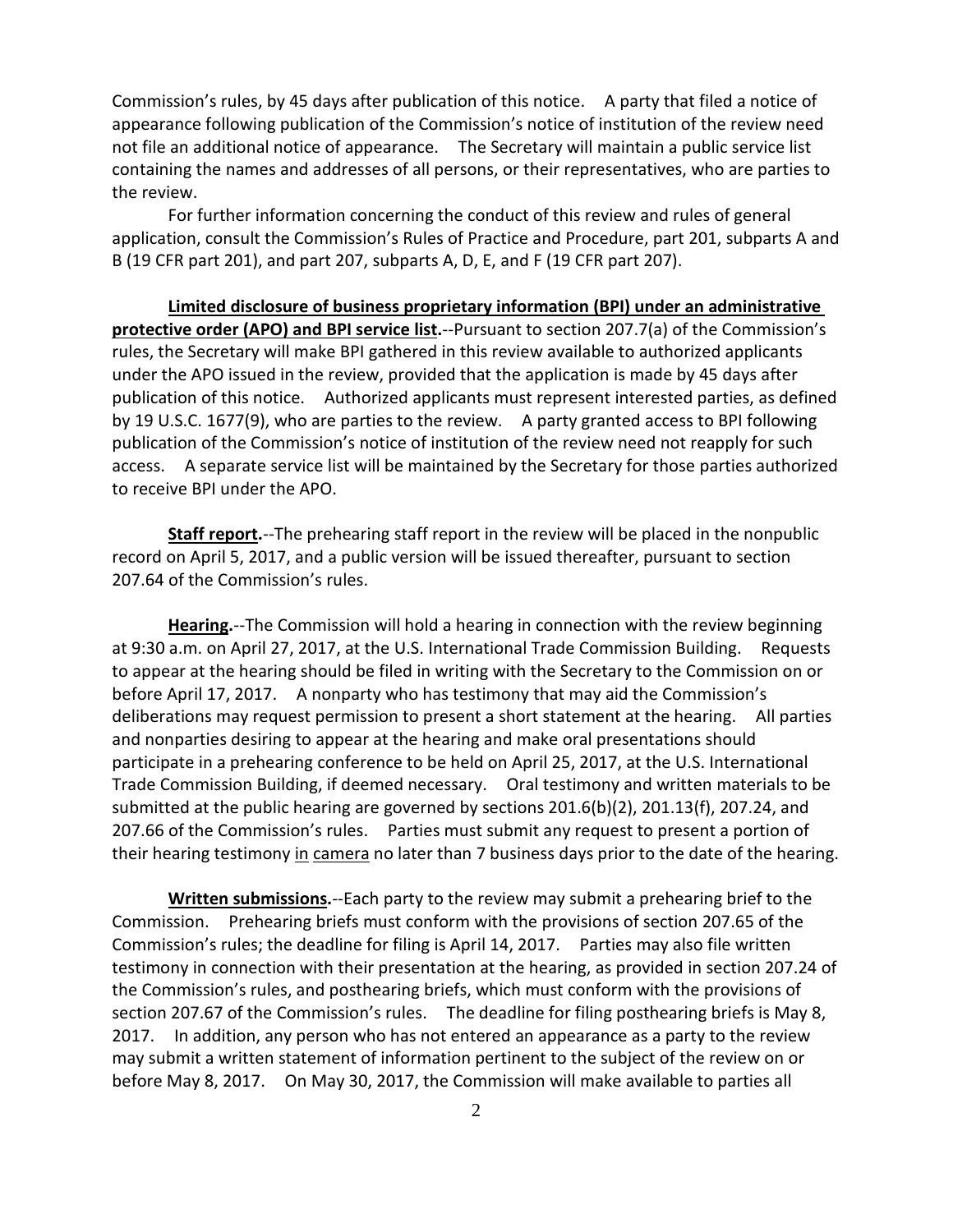Commission's rules, by 45 days after publication of this notice. A party that filed a notice of appearance following publication of the Commission's notice of institution of the review need not file an additional notice of appearance. The Secretary will maintain a public service list containing the names and addresses of all persons, or their representatives, who are parties to the review.

For further information concerning the conduct of this review and rules of general application, consult the Commission's Rules of Practice and Procedure, part 201, subparts A and B (19 CFR part 201), and part 207, subparts A, D, E, and F (19 CFR part 207).

**Limited disclosure of business proprietary information (BPI) under an administrative protective order (APO) and BPI service list.**--Pursuant to section 207.7(a) of the Commission's rules, the Secretary will make BPI gathered in this review available to authorized applicants under the APO issued in the review, provided that the application is made by 45 days after publication of this notice. Authorized applicants must represent interested parties, as defined by 19 U.S.C. 1677(9), who are parties to the review. A party granted access to BPI following publication of the Commission's notice of institution of the review need not reapply for such access. A separate service list will be maintained by the Secretary for those parties authorized to receive BPI under the APO.

**Staff report.**--The prehearing staff report in the review will be placed in the nonpublic record on April 5, 2017, and a public version will be issued thereafter, pursuant to section 207.64 of the Commission's rules.

**Hearing.**--The Commission will hold a hearing in connection with the review beginning at 9:30 a.m. on April 27, 2017, at the U.S. International Trade Commission Building. Requests to appear at the hearing should be filed in writing with the Secretary to the Commission on or before April 17, 2017. A nonparty who has testimony that may aid the Commission's deliberations may request permission to present a short statement at the hearing. All parties and nonparties desiring to appear at the hearing and make oral presentations should participate in a prehearing conference to be held on April 25, 2017, at the U.S. International Trade Commission Building, if deemed necessary. Oral testimony and written materials to be submitted at the public hearing are governed by sections 201.6(b)(2), 201.13(f), 207.24, and 207.66 of the Commission's rules. Parties must submit any request to present a portion of their hearing testimony in camera no later than 7 business days prior to the date of the hearing.

**Written submissions.**--Each party to the review may submit a prehearing brief to the Commission. Prehearing briefs must conform with the provisions of section 207.65 of the Commission's rules; the deadline for filing is April 14, 2017. Parties may also file written testimony in connection with their presentation at the hearing, as provided in section 207.24 of the Commission's rules, and posthearing briefs, which must conform with the provisions of section 207.67 of the Commission's rules. The deadline for filing posthearing briefs is May 8, 2017. In addition, any person who has not entered an appearance as a party to the review may submit a written statement of information pertinent to the subject of the review on or before May 8, 2017. On May 30, 2017, the Commission will make available to parties all